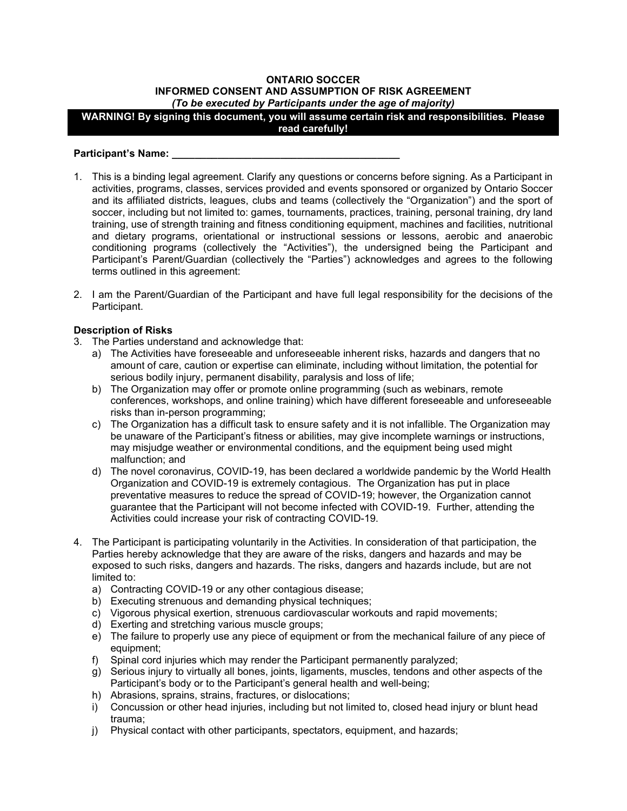### **ONTARIO SOCCER INFORMED CONSENT AND ASSUMPTION OF RISK AGREEMENT** *(To be executed by Participants under the age of majority)*

**WARNING! By signing this document, you will assume certain risk and responsibilities. Please read carefully!**

### Participant's Name:

- 1. This is a binding legal agreement. Clarify any questions or concerns before signing. As a Participant in activities, programs, classes, services provided and events sponsored or organized by Ontario Soccer and its affiliated districts, leagues, clubs and teams (collectively the "Organization") and the sport of soccer, including but not limited to: games, tournaments, practices, training, personal training, dry land training, use of strength training and fitness conditioning equipment, machines and facilities, nutritional and dietary programs, orientational or instructional sessions or lessons, aerobic and anaerobic conditioning programs (collectively the "Activities"), the undersigned being the Participant and Participant's Parent/Guardian (collectively the "Parties") acknowledges and agrees to the following terms outlined in this agreement:
- 2. I am the Parent/Guardian of the Participant and have full legal responsibility for the decisions of the Participant.

# **Description of Risks**

- 3. The Parties understand and acknowledge that:
	- a) The Activities have foreseeable and unforeseeable inherent risks, hazards and dangers that no amount of care, caution or expertise can eliminate, including without limitation, the potential for serious bodily injury, permanent disability, paralysis and loss of life;
	- b) The Organization may offer or promote online programming (such as webinars, remote conferences, workshops, and online training) which have different foreseeable and unforeseeable risks than in-person programming;
	- c) The Organization has a difficult task to ensure safety and it is not infallible. The Organization may be unaware of the Participant's fitness or abilities, may give incomplete warnings or instructions, may misjudge weather or environmental conditions, and the equipment being used might malfunction; and
	- d) The novel coronavirus, COVID-19, has been declared a worldwide pandemic by the World Health Organization and COVID-19 is extremely contagious. The Organization has put in place preventative measures to reduce the spread of COVID-19; however, the Organization cannot guarantee that the Participant will not become infected with COVID-19. Further, attending the Activities could increase your risk of contracting COVID-19.
- 4. The Participant is participating voluntarily in the Activities. In consideration of that participation, the Parties hereby acknowledge that they are aware of the risks, dangers and hazards and may be exposed to such risks, dangers and hazards. The risks, dangers and hazards include, but are not limited to:
	- a) Contracting COVID-19 or any other contagious disease;
	- b) Executing strenuous and demanding physical techniques;
	- c) Vigorous physical exertion, strenuous cardiovascular workouts and rapid movements;
	- d) Exerting and stretching various muscle groups;
	- e) The failure to properly use any piece of equipment or from the mechanical failure of any piece of equipment;
	- f) Spinal cord injuries which may render the Participant permanently paralyzed;
	- g) Serious injury to virtually all bones, joints, ligaments, muscles, tendons and other aspects of the Participant's body or to the Participant's general health and well-being;
	- h) Abrasions, sprains, strains, fractures, or dislocations;
	- i) Concussion or other head injuries, including but not limited to, closed head injury or blunt head trauma;
	- j) Physical contact with other participants, spectators, equipment, and hazards;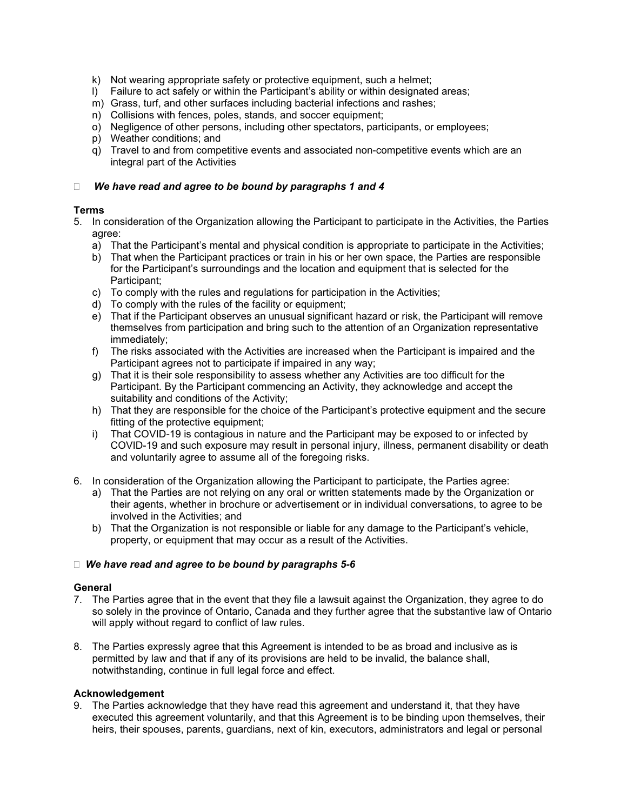- k) Not wearing appropriate safety or protective equipment, such a helmet;
- l) Failure to act safely or within the Participant's ability or within designated areas;
- m) Grass, turf, and other surfaces including bacterial infections and rashes;
- n) Collisions with fences, poles, stands, and soccer equipment;
- o) Negligence of other persons, including other spectators, participants, or employees;
- p) Weather conditions; and
- q) Travel to and from competitive events and associated non-competitive events which are an integral part of the Activities

### *We have read and agree to be bound by paragraphs 1 and 4*

## **Terms**

- 5. In consideration of the Organization allowing the Participant to participate in the Activities, the Parties agree:
	- a) That the Participant's mental and physical condition is appropriate to participate in the Activities;
	- b) That when the Participant practices or train in his or her own space, the Parties are responsible for the Participant's surroundings and the location and equipment that is selected for the Participant;
	- c) To comply with the rules and regulations for participation in the Activities;
	- d) To comply with the rules of the facility or equipment;
	- e) That if the Participant observes an unusual significant hazard or risk, the Participant will remove themselves from participation and bring such to the attention of an Organization representative immediately;
	- f) The risks associated with the Activities are increased when the Participant is impaired and the Participant agrees not to participate if impaired in any way;
	- g) That it is their sole responsibility to assess whether any Activities are too difficult for the Participant. By the Participant commencing an Activity, they acknowledge and accept the suitability and conditions of the Activity;
	- h) That they are responsible for the choice of the Participant's protective equipment and the secure fitting of the protective equipment;
	- i) That COVID-19 is contagious in nature and the Participant may be exposed to or infected by COVID-19 and such exposure may result in personal injury, illness, permanent disability or death and voluntarily agree to assume all of the foregoing risks.
- 6. In consideration of the Organization allowing the Participant to participate, the Parties agree:
	- a) That the Parties are not relying on any oral or written statements made by the Organization or their agents, whether in brochure or advertisement or in individual conversations, to agree to be involved in the Activities; and
	- b) That the Organization is not responsible or liable for any damage to the Participant's vehicle, property, or equipment that may occur as a result of the Activities.

### *We have read and agree to be bound by paragraphs 5-6*

### **General**

- 7. The Parties agree that in the event that they file a lawsuit against the Organization, they agree to do so solely in the province of Ontario, Canada and they further agree that the substantive law of Ontario will apply without regard to conflict of law rules.
- 8. The Parties expressly agree that this Agreement is intended to be as broad and inclusive as is permitted by law and that if any of its provisions are held to be invalid, the balance shall, notwithstanding, continue in full legal force and effect.

### **Acknowledgement**

9. The Parties acknowledge that they have read this agreement and understand it, that they have executed this agreement voluntarily, and that this Agreement is to be binding upon themselves, their heirs, their spouses, parents, guardians, next of kin, executors, administrators and legal or personal